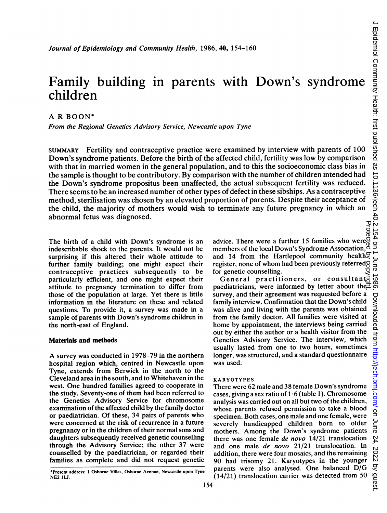# Family building in parents with Down's syndrome children

A R BOON\*

From the Regional Genetics Advisory Service, Newcastle upon Tyne

SUMMARY Fertility and contraceptive practice were examined by interview with parents of 100 Down's syndrome patients. Before the birth of the affected child, fertility was low by comparison with that in married women in the general population, and to this the socioeconomic class bias in the sample is thought to be contributory. By comparison with the number of children intended had the Down's syndrome propositus been unaffected, the actual subsequent fertility was reduced. There seems to be an increased number of other types of defect in these sibships. As <sup>a</sup> contraceptive method, sterilisation was chosen by an elevated proportion of parents. Despite their acceptance of the child, the majority of mothers would wish to terminate any future pregnancy in which an abnormal fetus was diagnosed.

The birth of a child with Down's syndrome is an indescribable shock to the parents. It would not be surprising if this altered their whole attitude to further family building; one might expect their contraceptive practices subsequently to be particularly efficient, and one might expect their attitude to pregnancy termination to differ from those of the population at large. Yet there is little information in the literature on these and related questions. To provide it, <sup>a</sup> survey was made in a sample of parents with Down's syndrome children in the north-east of England.

#### Materials and methods

A survey was conducted in 1978-79 in the northern hospital region which, centred in Newcastle upon Tyne, extends from Berwick in the north to the Cleveland area in the south, and to Whitehaven in the west. One hundred families agreed to cooperate in the study. Seventy-one of them had been referred to the Genetics Advisory Service for chromosome examination of the affected child by the family doctor or paediatrician. Of these, 34 pairs of parents who were concerned at the risk of recurrence in a future pregnancy or in the children of their normal sons and daughters subsequently received genetic counselling through the Advisory Service; the other 37 were counselled by the paediatrician, or regarded their families as complete and did not request genetic

advice. There were a further 15 families who were $\frac{1}{2}$ members of the local Down's Syndrome Association, and 14 from the Hartlepool community health register, none of whom had been previously referred for genetic counselling. Protected by copyright.

General practitioners, or consultant paediatricians, were informed by letter about the  $\overline{P}$ survey, and their agreement was requested before a family interview. Confirmation that the Down's child was alive and living with the parents was obtained from the family doctor. All families were visited at home by appointment, the interviews being carried out by either the author or a health visitor from the Genetics Advisory Service. The interview, which usually lasted from one to two hours, sometimes longer, was structured, and a standard questionnaire was used.

#### KARYOTYPES

There were 62 male and 38 female Down's syndrome cases, giving a sex ratio of  $1.6$  (table 1). Chromosome analysis was carried out on all but two of the children, whose parents refused permission to take a blood specimen. Both cases, one male and one female, were severely handicapped children born to older mothers. Among the Down's syndrome patients there was one female de novo 14/21 translocation and one male de novo 21/21 translocation. In addition, there were four mosaics, and the remaining 90 had trisomy 21. Karyotypes in the younger parents were also analysed. One balanced D/G (14/21) translocation carrier was detected from 50

<sup>&#</sup>x27;Present address: <sup>1</sup> Osborne Villas, Osborne Avenue, Newcastle upon Tyne **NE2 1LJ.**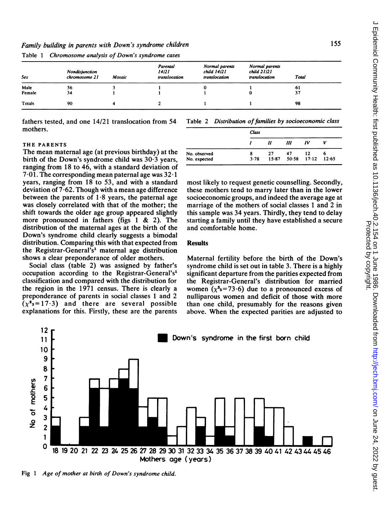| Sex    | Nondisjunction<br>chromosome 21 | Mosaic | Parental<br>14/21<br>translocation | Normal parents<br>child 14/21<br>translocation | Normal parents<br>child 21/21<br>translocation | Total |
|--------|---------------------------------|--------|------------------------------------|------------------------------------------------|------------------------------------------------|-------|
| Male   | 56                              |        |                                    |                                                |                                                | 61    |
| Female | 34                              |        |                                    |                                                | o                                              | 37    |
| Totals | 90                              |        |                                    |                                                |                                                | 98    |

Table <sup>1</sup> Chromosome analysis of Down's syndrome cases

fathers tested, and one 14/21 translocation from 54 mothers.

Table 2 Distribution of families by socioeconomic class

## THE PARENTS

The mean maternal age (at previous birthday) at the birth of the Down's syndrome child was  $30.\overline{3}$  years, ranging from 18 to 46, with a standard deviation of  $7.01$ . The corresponding mean paternal age was  $32.1$ years, ranging from 18 to 53, and with a standard deviation of  $7.62$ . Though with a mean age difference between the parents of  $1.8$  years, the paternal age was closely correlated with that of the mother; the shift towards the older age group appeared slightly more pronounced in fathers (figs <sup>1</sup> & 2). The distribution of the maternal ages at the birth of the Down's syndrome child clearly suggests a bimodal distribution. Comparing this with that expected from the Registrar-General's<sup>1</sup> maternal age distribution shows a clear preponderance of older mothers.

Social class (table 2) was assigned by father's occupation according to the Registrar-General's1 classification and compared with the distribution for the region in the 1971 census. There is clearly a preponderance of parents in social classes <sup>1</sup> and 2  $(\chi^2_{3}=17.3)$  and there are several possible explanations for this. Firstly, these are the parents

|              | Class |         |       |       |       |  |
|--------------|-------|---------|-------|-------|-------|--|
|              |       | 11      | Ш     | IV    |       |  |
| No. observed | 8     | 27      | 47    | 12    | o     |  |
| No. expected | 3.78  | $15-87$ | 50.58 | 17.12 | 12.65 |  |
|              |       |         |       |       |       |  |

most likely to request genetic counselling. Secondly, these mothers tend to marry later than in the lower socioeconomic groups, and indeed the average age at marriage of the mothers of social classes <sup>1</sup> and 2 in this sample was 34 years. Thirdly, they tend to delay starting a family until they have established a secure and comfortable home.

## **Results**

Maternal fertility before the birth of the Down's syndrome child is set out in table 3. There is a highly significant departure from the parities expected from the Registrar-General's distribution for married women  $(x^2s=73.6)$  due to a pronounced excess of nulliparous women and deficit of those with more than one child, presumably for the reasons given above. When the expected parities are adjusted to



Fig <sup>1</sup> Age of mother at birth of Down's syndrome child.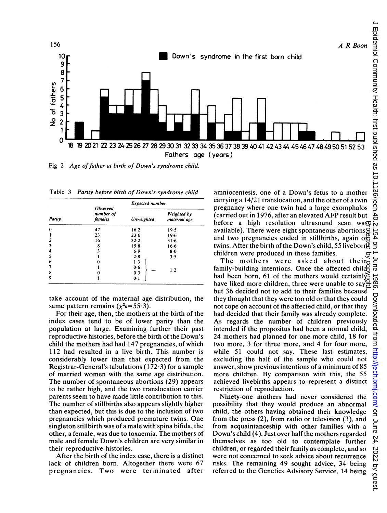

Fig 2 Age of father at birth of Down's syndrome child.

Table 3 Parity before birth of Down's syndrome child

|        |                                         | Expected number |                             |  |  |
|--------|-----------------------------------------|-----------------|-----------------------------|--|--|
| Parity | <b>Observed</b><br>number of<br>females | Unweighted      | Weighted by<br>maternal age |  |  |
| 0      | 47                                      | $16 - 2$        | 19.5                        |  |  |
|        | 23                                      | 23.6            | 19.6                        |  |  |
|        | 16                                      | 32.2            | 31.6                        |  |  |
| 3      | 8                                       | $15-8$          | $16-6$                      |  |  |
|        | 3                                       | 6.9             | $8-0$                       |  |  |
|        |                                         | 2.8             | 3.5                         |  |  |
| 6      |                                         | $1-3$           |                             |  |  |
|        |                                         | 0.6             |                             |  |  |
| 8      | 0                                       | 0.3             | $1-2$                       |  |  |
| 9      |                                         | 0.1             |                             |  |  |
|        |                                         |                 |                             |  |  |

take account of the maternal age distribution, the same pattern remains  $(x^2-55.3)$ .

For their age, then, the mothers at the birth of the index cases tend to be of lower parity than the population at large. Examining further their past reproductive histories, before the birth of the Down's child the mothers had had 147 pregnancies, of which 112 had resulted in a live birth. This number is considerably lower than that expected from the Registrar-General's tabulations (172.3) for a sample of married women with the same age distribution. The number of spontaneous abortions (29) appears to be rather high, and the two translocation carrier parents seem to have made little contribution to this. The number of stillbirths also appears slightly higher than expected, but this is due to the inclusion of two pregnancies which produced premature twins. One singleton stillbirth was of a male with spina bifida, the other, a female, was due to toxaemia. The mothers of male and female Down's children are very similar in their reproductive histories.

After the birth of the index case, there is a distinct lack of children born. Altogether there were 67 pregnancies. Two were terminated after

amniocentesis, one of a Down's fetus to a mother carrying a 14/21 translocation, and the other of a twin pregnancy where one twin had a large exomphalos (carried out in 1976, after an elevated AFP result but before a high resolution ultrasound scan wasu available). There were eight spontaneous abortions $\mathcal{Q}$ and two pregnancies ended in stillbirths, again of twins. After the birth of the Down's child, 55 liveborn children were produced in these families. Protected by copyright.

The mothers were asked about their $\overline{c}$ family-building intentions. Once the affected child had been born, 61 of the mothers would certainly have liked more children, three were unable to say $\frac{1}{2}$ but 36 decided not to add to their families because they thought that they were too old or that they could not cope on account of the affected child, or that they had decided that their family was already complete. As regards the number of children previously intended if the propositus had been a normal child, 24 mothers had planned for one more child, 18 for two more, 3 for three more, and 4 for four more, while 51 could not say. These last estimates, excluding the half of the sample who could not answer, show previous intentions of a minimum of 85 more children. By comparison with this, the 55 achieved livebirths appears to represent a distinct restriction of reproduction.

Ninety-one mothers had never considered the possibility that they would produce an abnormal child, the others having obtained their knowledge from the press (2), from radio or television (3), and from acquaintanceship with other families with a Down's child (4). Just over half the mothers regarded themselves as too old to contemplate further children, or regarded their family as complete, and so were not concerned to seek advice about recurrence risks. The remaining 49 sought advice, 34 being referred to the Genetics Advisory Service, 14 being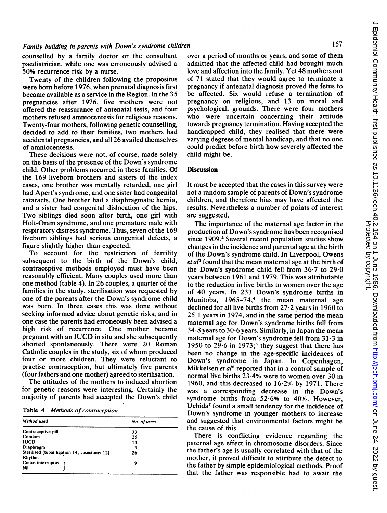counselled by a family doctor or the consultant paediatrician, while one was erroneously advised a 50%. recurrence risk by a nurse.

Twenty of the children following the propositus were born before 1976, when prenatal diagnosis first became available as a service in the Region. In the 35 pregnancies after 1976, five mothers were not offered the reassurance of antenatal tests, and four mothers refused amniocentesis for religious reasons. Twenty-four mothers, following genetic counselling, decided to add to their families, two mothers had accidental pregnancies, and all 26 availed themselves of amniocentesis.

These decisions were not, of course, made solely on the basis of the presence of the Down's syndrome child. Other problems occurred in these families. Of the 169 liveborn brothers and sisters of the index cases, one brother was mentally retarded, one girl had Apert's syndrome, and one sister had congenital cataracts. One brother had a diaphragmatic hernia, and a sister had congenital dislocation of the hips. Two siblings died soon after birth, one girl with Holt-Oram syndrome, and one premature male with respiratory distress syndrome. Thus, seven of the 169 liveborn siblings had serious congenital defects, a figure slightly higher than expected.

To account for the restriction of fertility subsequent to the birth of the Down's child, contraceptive methods employed must have been reasonably efficient. Many couples used more than one method (table 4). In 26 couples, a quarter of the families in the study, sterilisation was requested by one of the parents after the Down's syndrome child was born. In three cases this was done without seeking informed advice about genetic risks, and in one case the parents had erroneously been advised a high risk of recurrence. One mother became pregnant with an IUCD in situ and she subsequently aborted spontaneously. There were 20 Roman Catholic couples in the study, six of whom produced four or more children. They were reluctant to practise contraception, but ultimately five parents (four fathers and one mother) agreed to sterilisation.

The attitudes of the mothers to induced abortion for genetic reasons were interesting. Certainly the majority of parents had accepted the Down's child

Table 4 Methods of contraception

| Method used                                  | No. of users |  |
|----------------------------------------------|--------------|--|
| Contraceptive pill                           | 33           |  |
| Condom                                       | 25           |  |
| <b>IUCD</b>                                  | 13           |  |
| Diaphragm                                    | 3            |  |
| Sterilised (tubal ligation 14; vasectomy 12) | 26           |  |
| Rhythm                                       |              |  |
| Coitus interruptus                           | 9            |  |
| Nil                                          |              |  |

over a period of months or years, and some of them admitted that the affected child had brought much love and affection into the family. Yet 48 mothers out of 71 stated that they would agree to terminate a pregnancy if antenatal diagnosis proved the fetus to be affected. Six would refuse a termination of pregnancy on religious, and 13 on moral and psychological, grounds. There were four mothers who were uncertain concerning their attitude towards pregnancy termination. Having accepted the handicapped child, they realised that there were varying degrees of mental handicap, and that no one could predict before birth how severely affected the child might be.

#### **Discussion**

It must be accepted that the cases in this survey were not a random sample of parents of Down's syndrome children, and therefore bias may have affected the results. Nevertheless a number of points of interest are suggested.

The importance of the maternal age factor in the production of Down's syndrome has been recognised since 1909.<sup>2</sup> Several recent population studies show changes in the incidence and parental age at the birth of the Down's syndrome child. In Liverpool, Owens et al<sup>3</sup> found that the mean maternal age at the birth of the Down's syndrome child fell from 36-7 to 29-0 years between 1961 and 1979. This was attributable to the reduction in live births to women over the age of 40 years. In 233 Down's syndrome births in Manitoba, 1965-74,<sup>4</sup> the mean maternal age declined for all live births from 27-2 years in 1960 to 25-1 years in 1974, and in the same period the mean maternal age for Down's syndrome births fell from  $34.8$  years to  $30.6$  years. Similarly, in Japan the mean maternal age for Down's syndrome fell from 31-3 in 1950 to 29 $\cdot$ 6 in 1973;<sup>5</sup> they suggest that there has been no change in the age-specific incidences of Down's syndrome in Japan. In Copenhagen, Mikkelsen et al<sup>6</sup> reported that in a control sample of normal live births 23-4%, were to women over 30 in 1960, and this decreased to  $16.2%$  by 1971. There was a corresponding decrease in the Down's syndrome births from  $52.6%$  to 40%. However, Uchida7 found a small tendency for the incidence of Down's syndrome in younger mothers to increase and suggested that environmental factors might be the cause of this.

There is conflicting evidence regarding the paternal age effect in chromosome disorders. Since the father's age is usually correlated with that of the mother, it proved difficult to attribute the defect to the father by simple epidemiological methods. Proof that the father was responsible had to await the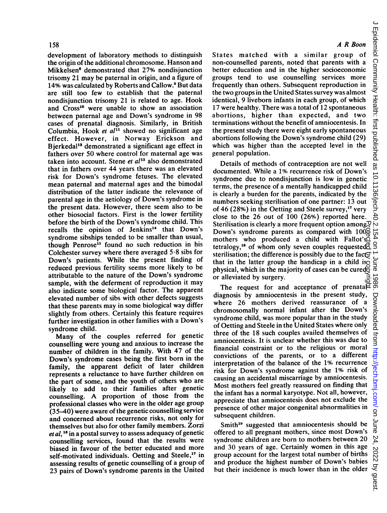development of laboratory methods to distinguish the origin of the additional chromosome. Hanson and Mikkelsen<sup>8</sup> demonstrated that 27% nondisjunction trisomy 21 may be paternal in origin, and a figure of 14% was calculated by Roberts and Callow.<sup>9</sup> But data are still too few to establish that the paternal nondisjunction trisomy 21 is related to age. Hook and Cross<sup>10</sup> were unable to show an association between paternal age and Down's syndrome in 98 cases of prenatal diagnosis. Similarly, in British Columbia, Hook et  $al^{11}$  showed no significant age effect. However, in Norway Erickson and Bjerkedal<sup>12</sup> demonstrated a significant age effect in fathers over 50 where control for maternal age was taken into account. Stene et  $al<sup>13</sup>$  also demonstrated that in fathers over 44 years there was an elevated risk for Down's syndrome fetuses. The elevated mean paternal and maternal ages and the bimodal distribution of the latter indicate the relevance of parental age in the aetiology of Down's syndrome in the present data. However, there seem also to be other biosocial factors. First is the lower fertility before the birth of the Down's syndrome child. This recalls the opinion of Jenkins<sup>14</sup> that Down's syndrome sibships tended to be smaller than usual, though Penrose<sup>15</sup> found no such reduction in his Colchester survey where there averaged  $5.8$  sibs for Down's patients. While the present finding of reduced previous fertility seems more likely to be attributable to the nature of the Down's syndrome sample, with the deferment of reproduction it may also indicate some biological factor. The apparent elevated number of sibs with other defects suggests that these parents may in some biological way differ slightly from others. Certainly this feature requires further investigation in other families with a Down's syndrome child.

Many of the couples referred for genetic counselling were young and anxious to increase the number of children in the family. With 47 of the Down's syndrome cases being the first born in the family, the apparent deficit of later children represents a reluctance to have further children on the part of some, and the youth of others who are likely to add to their families after genetic counselling. A proportion of those from the professional classes who were in the older age group (35-40) were aware of the genetic counselling service and concerned about recurrence risks, not only for themselves but also for other family members. Zorzi et al,<sup>16</sup> in a postal survey to assess adequacy of genetic counselling services, found that the results were biased in favour of the better educated and more self-motivated individuals. Oetting and Steele,<sup>17</sup> in assessing results of genetic counselling of a group of 23 pairs of Down's syndrome parents in the United

## A R Boon

States matched with <sup>a</sup> similar group of non-counselled parents, noted that parents with a better education and in the higher socioeconomic groups tend to use counselling services more frequently than others. Subsequent reproduction in the two groups in the United States survey was almost identical, 9 liveborn infants in each group, of which 17 were healthy. There was a total of 12 spontaneous abortions, higher than expected, and two terminations without the benefit of amniocentesis. In the present study there were eight early spontaneous abortions following the Down's syndrome child (29) which was higher than the accepted level in the general population.

Details of methods of contraception are not well documented. While <sup>a</sup> 1%, recurrence risk of Down's syndrome due to nondisjunction is low in genetic terms, the presence of a mentally handicapped child is clearly a burden for the parents, indicated by the numbers seeking sterilisation of one partner: 13 out of 46 (28%) in the Oetting and Steele survey,<sup>17</sup> very close to the  $26$  out of  $100$   $(26%)$  reported here. Sterilisation is clearly a more frequent option among  $\mathbb{Z}$ Down's syndrome parents as compared with  $100\frac{9}{5}$ mothers who produced a child with Fallot's tetralogy,<sup>18</sup> of whom only seven couples requested $_{\infty}^{\infty}$  S sterilisation; the difference is possibly due to the fact  $\simeq$ that in the latter group the handicap in a child is physical, which in the majority of cases can be cured or alleviated by surgery.

The request for and acceptance of prenata $\mathbb{E} \setminus \mathbb{S}$ diagnosis by amniocentesis in the present study, where 26 mothers derived reassurance of a chromosomally normal infant after the Down's syndrome child, was more popular than in the study of Oetting and Steele in the United States where only three of the 18 such couples availed themselves of amniocentesis. It is unclear whether this was due to financial constraint or to the religious or moral convictions of the parents, or to a different interpretation of the balance of the 1% recurrence risk for Down's syndrome against the 1%, risk of causing an accidental miscarriage by amniocentesis. Most mothers feel greatly reassured on finding that the infant has a normal karyotype. Not all, however, appreciate that amniocentesis does not exclude the presence of other major congenital abnormalities in subsequent children. Sterilisation is clearly a more frequent option among<br>The Down's syndrome parents as compared with 100 $\frac{200}{1000}$ <br>mothers who produced a child with Fallor's<br>tetralogy,<sup>18</sup> of whom only seven couples requested<br>Etterilisa

Smith<sup>19</sup> suggested that amniocentesis should be offered to all pregnant mothers, since most Down's syndrome children are born to mothers between 20 and 30 years of age. Certainly women in this age group account for the largest total number of births and produce the highest number of Down's babies<br>but their incidence is much lower than in the older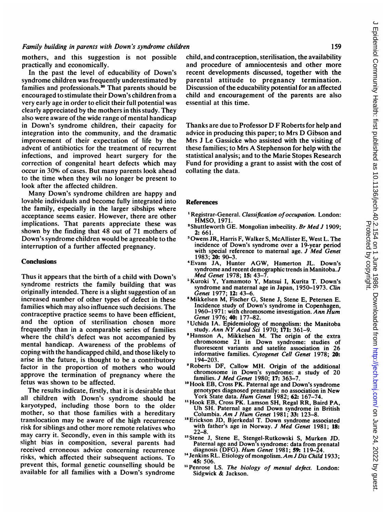mothers, and this suggestion is not possible practically and economically.

In the past the level of educability of Down's syndrome children was frequently underestimated by families and professionals.<sup>20</sup> That parents should be encouraged to stimulate their Down's children from a very early age in order to elicit their full potential was clearly appreciated by the mothers in this study. They also were aware of the wide range of mental handicap in Down's syndrome children, their capacity for integration into the community, and the dramatic improvement of their expectation of life by the advent of antibiotics for the treatment of recurrent infections, and improved heart surgery for the correction of congenital heart defects which may occur in 30%. of cases. But many parents look ahead to the time when they wili no longer be present to look after the affected children.

Many Down's syndrome children are happy and lovable individuals and become fully integrated into the family, especially in the larger sibships where acceptance seems easier. However, there are other implications. That parents appreciate these was shown by the finding that 48 out of 71 mothers of Down's syndrome children would be agreeable to the interruption of a further affected pregnancy.

#### **Conclusions**

Thus it appears that the birth of a child with Down's syndrome restricts the family building that was originally intended. There is a slight suggestion of an increased number of other types of defect in these families which may also influence such decisions. The contraceptive practice seems to have been efficient, and the option of sterilisation chosen more frequently than in a comparable series of families where the child's defect was not accompanied by mental handicap. Awareness of the problems of coping with the handicapped child, and those likely to arise in the future, is thought to be a contributory factor in the proportion of mothers who would approve the termination of pregnancy where the fetus was shown to be affected.

The results indicate, firstly, that it is desirable that all children with Down's syndrome should be karyotyped, including those born to the older mother, so that those families with a hereditary translocation may be aware of the high recurrence risk for siblings and other more remote relatives who may carry it. Secondly, even in this sample with its slight bias in composition, several parents had received erroneous advice concerning recurrence risks, which affected their subsequent actions. To prevent this, formal genetic counselling should be available for all families with a Down's syndrome

child, and contraception, sterilisation, the availability and procedure of amniocentesis and other more recent developments discussed, together with the parental attitude to pregnancy termination. Discussion of the educability potential for an affected child and encouragement of the parents are also essential at this time.

Thanks are due to Professor D F Roberts for help and advice in producing this paper; to Mrs D Gibson and Mrs <sup>J</sup> Le Gassicke who assisted with the visiting of these families; to Mrs A Stephenson for help with the statistical analysis; and to the Marie Stopes Research Fund for providing a grant to assist with the cost of collating the data.

## References

- <sup>1</sup> Registrar-General. Classification of occupation. London: HMSO, 1971.
- Shuttleworth GE. Mongolian imbecility. Br Med J 1909; 2: 661.
- 3Owens JR, Harris F, Walker S, McAllister E, West L. The incidence of Down's syndrome over a 19-year period with special reference to maternal age. J Med Genet 1983; 20: 90-3.
- 4Evans JA, Hunter AGW, Hamerton JL. Down's syndrome and recent demographic trends in Manitoba. J Med Genet 1978; 15: 43-7.
- 'Kuroki Y, Yamamoto Y, Matsui I, Kurita T. Down's syndrome and maternal age in Japan, 1950-1973. Clin Genet 1977; 12: 43-6.
- 'Mikkelsen M, Fischer G, Stene J, Stene E, Petersen E. Incidence study of Down's syndrome in Copenhagen, 1960-1971: with chromosome investigation. Ann Hum Genet 1976; 40: 177-82.
- 7Uchida IA. Epidemiology of mongolism: the Manitoba study. Ann NY Acad Sci 1970; 171: 361-9.
- 8Hansson A, Mikkelsen M. The origin of the extra chromosome 21 in Down syndrome: studies of fluorescent variants and satelite association in 26 informative families. Cytogenet Cell Genet 1978; 20: 194-203.
- 'Roberts DF, Callow MH. Origin of the additional chromosome in Down's syndrome: a study of 20 families. J Med Genet 1980; 17: 363-7.
- <sup>10</sup> Hook EB, Cross PK. Paternal age and Down's syndrome genotypes diagnosed prenatally: no association in New York State data. *Hum Genet* 1982; 62: 167–74.
- "Hook EB, Cross PK. Lamson SH, Regal RR, Baird PA, Uh SH. Paternal age and Down syndrome in British Columbia. Am <sup>J</sup> Hum Genet 1981; 33: 123-8.
- <sup>12</sup> Erickson JD, Bjerkedal T. Down syndrome associated with father's age in Norway. J Med Genet 1981; 18: 22-8.
- <sup>13</sup> Stene J, Stene E, Stengel-Rutkowski S, Murken JD. Paternal age and Down's syndrome: data from prenatal diagnosis (DFG). Hum Genet 1981; 59: 119-24.
- <sup>14</sup> Jenkins RL. Etiology of mongolism. Am J Dis Child 1933; 45: 506.
- <sup>15</sup> Penrose LS. The biology of mental defect. London: Sidgwick & Jackson.